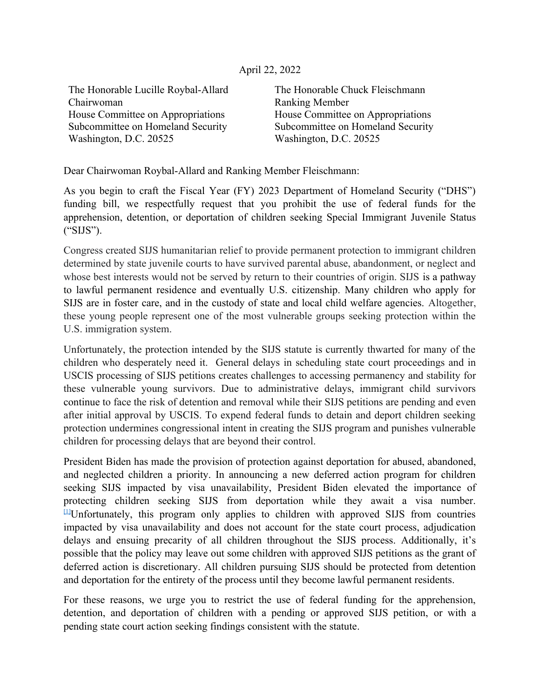## April 22, 2022

The Honorable Lucille Roybal-Allard Chairwoman House Committee on Appropriations Subcommittee on Homeland Security Washington, D.C. 20525

The Honorable Chuck Fleischmann Ranking Member House Committee on Appropriations Subcommittee on Homeland Security Washington, D.C. 20525

Dear Chairwoman Roybal-Allard and Ranking Member Fleischmann:

As you begin to craft the Fiscal Year (FY) 2023 Department of Homeland Security ("DHS") funding bill, we respectfully request that you prohibit the use of federal funds for the apprehension, detention, or deportation of children seeking Special Immigrant Juvenile Status ("SIJS").

Congress created SIJS humanitarian relief to provide permanent protection to immigrant children determined by state juvenile courts to have survived parental abuse, abandonment, or neglect and whose best interests would not be served by return to their countries of origin. SIJS is a pathway to lawful permanent residence and eventually U.S. citizenship. Many children who apply for SIJS are in foster care, and in the custody of state and local child welfare agencies. Altogether, these young people represent one of the most vulnerable groups seeking protection within the U.S. immigration system.

Unfortunately, the protection intended by the SIJS statute is currently thwarted for many of the children who desperately need it. General delays in scheduling state court proceedings and in USCIS processing of SIJS petitions creates challenges to accessing permanency and stability for these vulnerable young survivors. Due to administrative delays, immigrant child survivors continue to face the risk of detention and removal while their SIJS petitions are pending and even after initial approval by USCIS. To expend federal funds to detain and deport children seeking protection undermines congressional intent in creating the SIJS program and punishes vulnerable children for processing delays that are beyond their control.

President Biden has made the provision of protection against deportation for abused, abandoned, and neglected children a priority. In announcing a new deferred action program for children seeking SIJS impacted by visa unavailability, President Biden elevated the importance of protecting children seeking SIJS from deportation while they await a visa number. [\[1\]](applewebdata://389D0E2A-1DC7-438F-AF38-39BF1E49A686#_ftn1)Unfortunately, this program only applies to children with approved SIJS from countries impacted by visa unavailability and does not account for the state court process, adjudication delays and ensuing precarity of all children throughout the SIJS process. Additionally, it's possible that the policy may leave out some children with approved SIJS petitions as the grant of deferred action is discretionary. All children pursuing SIJS should be protected from detention and deportation for the entirety of the process until they become lawful permanent residents.

For these reasons, we urge you to restrict the use of federal funding for the apprehension, detention, and deportation of children with a pending or approved SIJS petition, or with a pending state court action seeking findings consistent with the statute.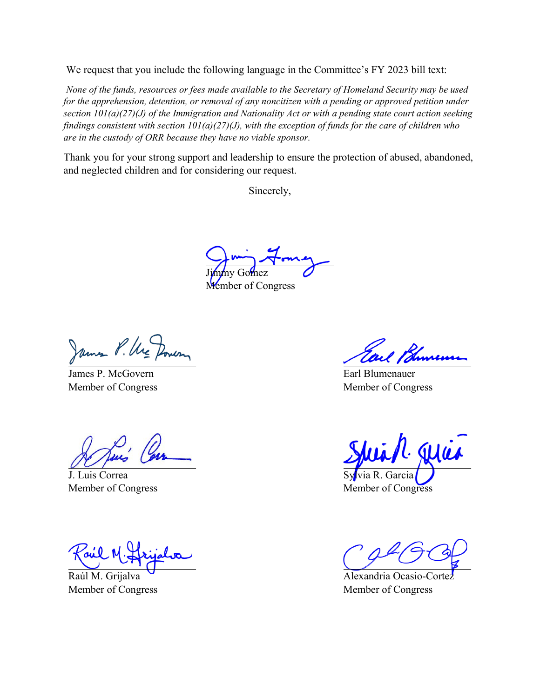We request that you include the following language in the Committee's FY 2023 bill text:

*None of the funds, resources or fees made available to the Secretary of Homeland Security may be used*  for the apprehension, detention, or removal of any noncitizen with a pending or approved petition under *section 101(a)(27)(J) of the Immigration and Nationality Act or with a pending state court action seeking findings consistent with section 101(a)(27)(J), with the exception of funds for the care of children who are in the custody of ORR because they have no viable sponsor.*

Thank you for your strong support and leadership to ensure the protection of abused, abandoned, and neglected children and for considering our request.

Sincerely,

Jimmy Gomez

Member of Congress

James P. McGovern Member of Congress

J. Luis Correa Member of Congress

Raúl M. Grijalva Member of Congress

Earl Blumenauer Member of Congress

Wie Sylvia R. Garcia

Member of Congress

Alexandria Ocasio-Cortez Member of Congress